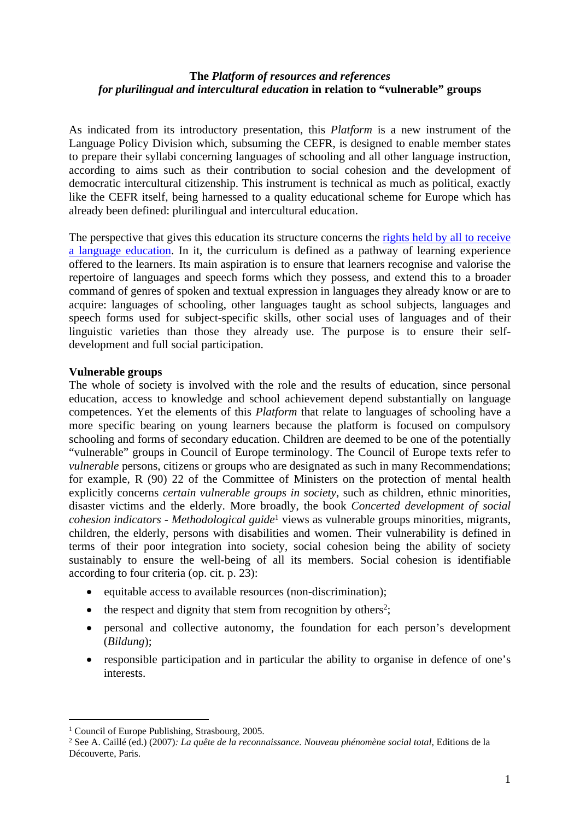## **The** *Platform of resources and references for plurilingual and intercultural education* **in relation to "vulnerable" groups**

As indicated from its introductory presentation, this *Platform* is a new instrument of the Language Policy Division which, subsuming the CEFR, is designed to enable member states to prepare their syllabi concerning languages of schooling and all other language instruction, according to aims such as their contribution to social cohesion and the development of democratic intercultural citizenship. This instrument is technical as much as political, exactly like the CEFR itself, being harnessed to a quality educational scheme for Europe which has already been defined: plurilingual and intercultural education.

The perspective that gives this education its structure concerns the rights held by all to receive [a language education.](http://www.coe.int/t/dg4/linguistic/Source/LE_texts_Source/EducPlurInter-Droit_en.pdf) In it, the curriculum is defined as a pathway of learning experience offered to the learners. Its main aspiration is to ensure that learners recognise and valorise the repertoire of languages and speech forms which they possess, and extend this to a broader command of genres of spoken and textual expression in languages they already know or are to acquire: languages of schooling, other languages taught as school subjects, languages and speech forms used for subject-specific skills, other social uses of languages and of their linguistic varieties than those they already use. The purpose is to ensure their selfdevelopment and full social participation.

## **Vulnerable groups**

The whole of society is involved with the role and the results of education, since personal education, access to knowledge and school achievement depend substantially on language competences. Yet the elements of this *Platform* that relate to languages of schooling have a more specific bearing on young learners because the platform is focused on compulsory schooling and forms of secondary education. Children are deemed to be one of the potentially "vulnerable" groups in Council of Europe terminology. The Council of Europe texts refer to *vulnerable* persons, citizens or groups who are designated as such in many Recommendations; for example, R (90) 22 of the Committee of Ministers on the protection of mental health explicitly concerns *certain vulnerable groups in society*, such as children, ethnic minorities, disaster victims and the elderly. More broadly, the book *Concerted development of social cohesion indicators - Methodological guide*<sup>1</sup> views as vulnerable groups minorities, migrants, children, the elderly, persons with disabilities and women. Their vulnerability is defined in terms of their poor integration into society, social cohesion being the ability of society sustainably to ensure the well-being of all its members. Social cohesion is identifiable according to four criteria (op. cit. p. 23):

- $\bullet$  equitable access to available resources (non-discrimination);
- $\bullet$  the respect and dignity that stem from recognition by others<sup>2</sup>;
- personal and collective autonomy, the foundation for each person's development (*Bildung*);
- responsible participation and in particular the ability to organise in defence of one's interests.

<sup>&</sup>lt;sup>1</sup> Council of Europe Publishing, Strasbourg, 2005.

<sup>2</sup> See A. Caillé (ed.) (2007)*: La quête de la reconnaissance. Nouveau phénomène social total*, Editions de la Découverte, Paris.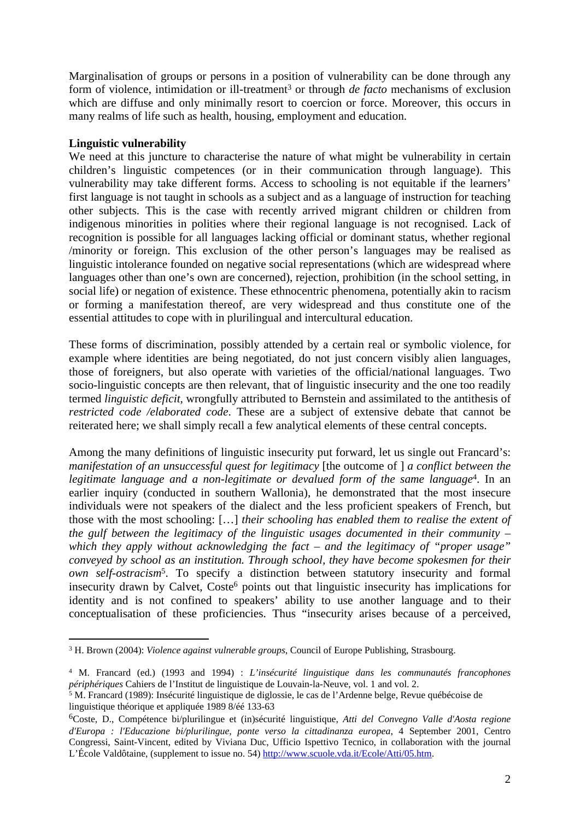Marginalisation of groups or persons in a position of vulnerability can be done through any form of violence, intimidation or ill-treatment<sup>3</sup> or through *de facto* mechanisms of exclusion which are diffuse and only minimally resort to coercion or force. Moreover, this occurs in many realms of life such as health, housing, employment and education.

## **Linguistic vulnerability**

We need at this juncture to characterise the nature of what might be vulnerability in certain children's linguistic competences (or in their communication through language). This vulnerability may take different forms. Access to schooling is not equitable if the learners' first language is not taught in schools as a subject and as a language of instruction for teaching other subjects. This is the case with recently arrived migrant children or children from indigenous minorities in polities where their regional language is not recognised. Lack of recognition is possible for all languages lacking official or dominant status, whether regional /minority or foreign. This exclusion of the other person's languages may be realised as linguistic intolerance founded on negative social representations (which are widespread where languages other than one's own are concerned), rejection, prohibition (in the school setting, in social life) or negation of existence. These ethnocentric phenomena, potentially akin to racism or forming a manifestation thereof, are very widespread and thus constitute one of the essential attitudes to cope with in plurilingual and intercultural education.

These forms of discrimination, possibly attended by a certain real or symbolic violence, for example where identities are being negotiated, do not just concern visibly alien languages, those of foreigners, but also operate with varieties of the official/national languages. Two socio-linguistic concepts are then relevant, that of linguistic insecurity and the one too readily termed *linguistic deficit*, wrongfully attributed to Bernstein and assimilated to the antithesis of *restricted code /elaborated code*. These are a subject of extensive debate that cannot be reiterated here; we shall simply recall a few analytical elements of these central concepts.

Among the many definitions of linguistic insecurity put forward, let us single out Francard's: *manifestation of an unsuccessful quest for legitimacy* [the outcome of ] *a conflict between the legitimate language and a non-legitimate or devalued form of the same language*<sup>4</sup> . In an earlier inquiry (conducted in southern Wallonia), he demonstrated that the most insecure individuals were not speakers of the dialect and the less proficient speakers of French, but those with the most schooling: […] *their schooling has enabled them to realise the extent of the gulf between the legitimacy of the linguistic usages documented in their community – which they apply without acknowledging the fact – and the legitimacy of "proper usage" conveyed by school as an institution. Through school, they have become spokesmen for their own self-ostracism*<sup>5</sup> . To specify a distinction between statutory insecurity and formal insecurity drawn by Calvet, Coste<sup>6</sup> points out that linguistic insecurity has implications for identity and is not confined to speakers' ability to use another language and to their conceptualisation of these proficiencies. Thus "insecurity arises because of a perceived,

<sup>3</sup> H. Brown (2004): *Violence against vulnerable groups*, Council of Europe Publishing, Strasbourg.

<sup>4</sup> M. Francard (ed.) (1993 and 1994) : *L'insécurité linguistique dans les communautés francophones* 

périphériques Cahiers de l'Institut de linguistique de Louvain-la-Neuve, vol. 1 and vol. 2.<br><sup>5</sup> M. Francard (1989): Insécurité linguistique de diglossie, le cas de l'Ardenne belge, Revue québécoise de linguistique théorique et appliquée 1989 8/éé 133-63

<sup>6</sup>Coste, D., Compétence bi/plurilingue et (in)sécurité linguistique, *Atti del Convegno Valle d'Aosta regione d'Europa : l'Educazione bi/plurilingue, ponte verso la cittadinanza europea*, 4 September 2001, Centro Congressi, Saint-Vincent, edited by Viviana Duc, Ufficio Ispettivo Tecnico, in collaboration with the journal L'École Valdôtaine, (supplement to issue no. 54) <http://www.scuole.vda.it/Ecole/Atti/05.htm>.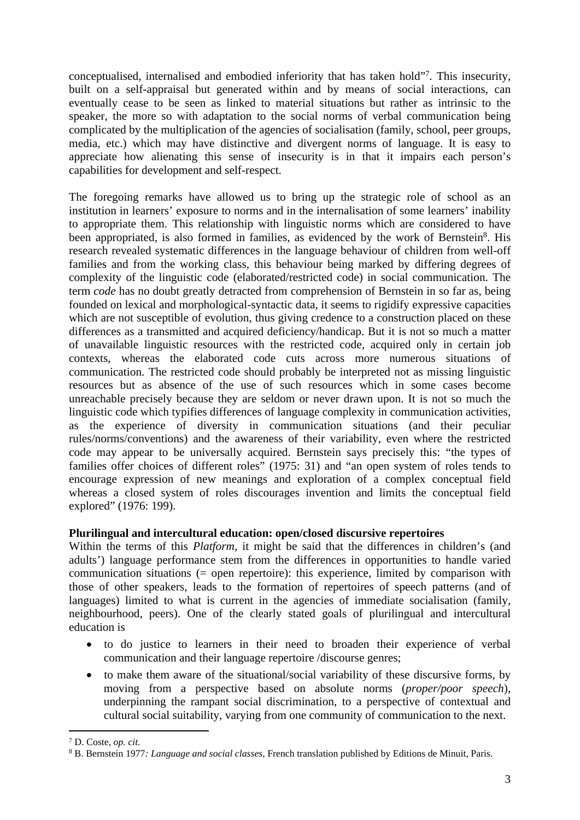conceptualised, internalised and embodied inferiority that has taken hold"<sup>7</sup> . This insecurity, built on a self-appraisal but generated within and by means of social interactions, can eventually cease to be seen as linked to material situations but rather as intrinsic to the speaker, the more so with adaptation to the social norms of verbal communication being complicated by the multiplication of the agencies of socialisation (family, school, peer groups, media, etc.) which may have distinctive and divergent norms of language. It is easy to appreciate how alienating this sense of insecurity is in that it impairs each person's capabilities for development and self-respect.

The foregoing remarks have allowed us to bring up the strategic role of school as an institution in learners' exposure to norms and in the internalisation of some learners' inability to appropriate them. This relationship with linguistic norms which are considered to have been appropriated, is also formed in families, as evidenced by the work of Bernstein<sup>8</sup>. His research revealed systematic differences in the language behaviour of children from well-off families and from the working class, this behaviour being marked by differing degrees of complexity of the linguistic code (elaborated/restricted code) in social communication. The term *code* has no doubt greatly detracted from comprehension of Bernstein in so far as, being founded on lexical and morphological-syntactic data, it seems to rigidify expressive capacities which are not susceptible of evolution, thus giving credence to a construction placed on these differences as a transmitted and acquired deficiency/handicap. But it is not so much a matter of unavailable linguistic resources with the restricted code, acquired only in certain job contexts, whereas the elaborated code cuts across more numerous situations of communication. The restricted code should probably be interpreted not as missing linguistic resources but as absence of the use of such resources which in some cases become unreachable precisely because they are seldom or never drawn upon. It is not so much the linguistic code which typifies differences of language complexity in communication activities, as the experience of diversity in communication situations (and their peculiar rules/norms/conventions) and the awareness of their variability, even where the restricted code may appear to be universally acquired. Bernstein says precisely this: "the types of families offer choices of different roles" (1975: 31) and "an open system of roles tends to encourage expression of new meanings and exploration of a complex conceptual field whereas a closed system of roles discourages invention and limits the conceptual field explored" (1976: 199).

## **Plurilingual and intercultural education: open/closed discursive repertoires**

Within the terms of this *Platform*, it might be said that the differences in children's (and adults') language performance stem from the differences in opportunities to handle varied communication situations (= open repertoire): this experience, limited by comparison with those of other speakers, leads to the formation of repertoires of speech patterns (and of languages) limited to what is current in the agencies of immediate socialisation (family, neighbourhood, peers). One of the clearly stated goals of plurilingual and intercultural education is

- to do justice to learners in their need to broaden their experience of verbal communication and their language repertoire /discourse genres;
- to make them aware of the situational/social variability of these discursive forms, by moving from a perspective based on absolute norms (*proper/poor speech*), underpinning the rampant social discrimination, to a perspective of contextual and cultural social suitability, varying from one community of communication to the next.

<sup>7</sup> D. Coste, *op. cit.*

<sup>8</sup> B. Bernstein 1977*: Language and social classes*, French translation published by Editions de Minuit, Paris.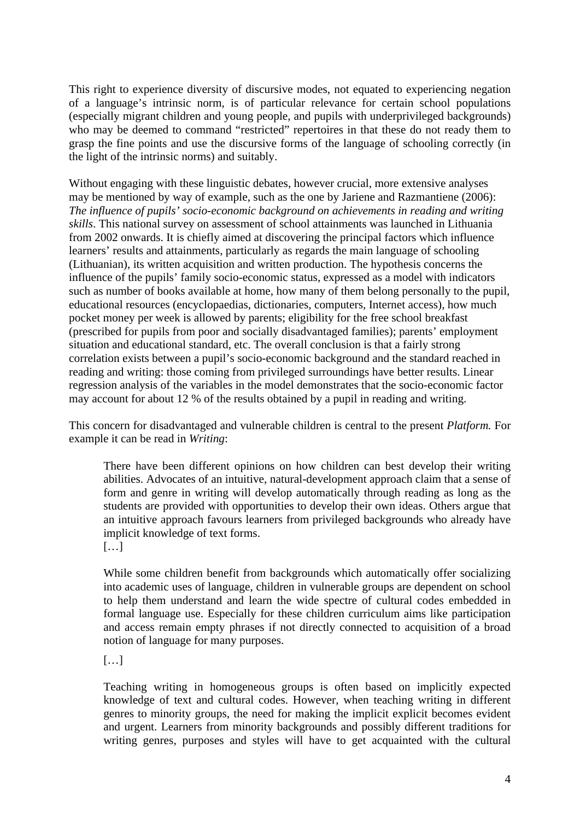This right to experience diversity of discursive modes, not equated to experiencing negation of a language's intrinsic norm, is of particular relevance for certain school populations (especially migrant children and young people, and pupils with underprivileged backgrounds) who may be deemed to command "restricted" repertoires in that these do not ready them to grasp the fine points and use the discursive forms of the language of schooling correctly (in the light of the intrinsic norms) and suitably.

Without engaging with these linguistic debates, however crucial, more extensive analyses may be mentioned by way of example, such as the one by Jariene and Razmantiene (2006): *The influence of pupils' socio-economic background on achievements in reading and writing skills*. This national survey on assessment of school attainments was launched in Lithuania from 2002 onwards. It is chiefly aimed at discovering the principal factors which influence learners' results and attainments, particularly as regards the main language of schooling (Lithuanian), its written acquisition and written production. The hypothesis concerns the influence of the pupils' family socio-economic status, expressed as a model with indicators such as number of books available at home, how many of them belong personally to the pupil, educational resources (encyclopaedias, dictionaries, computers, Internet access), how much pocket money per week is allowed by parents; eligibility for the free school breakfast (prescribed for pupils from poor and socially disadvantaged families); parents' employment situation and educational standard, etc. The overall conclusion is that a fairly strong correlation exists between a pupil's socio-economic background and the standard reached in reading and writing: those coming from privileged surroundings have better results. Linear regression analysis of the variables in the model demonstrates that the socio-economic factor may account for about 12 % of the results obtained by a pupil in reading and writing.

This concern for disadvantaged and vulnerable children is central to the present *Platform.* For example it can be read in *Writing*:

There have been different opinions on how children can best develop their writing abilities. Advocates of an intuitive, natural-development approach claim that a sense of form and genre in writing will develop automatically through reading as long as the students are provided with opportunities to develop their own ideas. Others argue that an intuitive approach favours learners from privileged backgrounds who already have implicit knowledge of text forms.

[…]

While some children benefit from backgrounds which automatically offer socializing into academic uses of language, children in vulnerable groups are dependent on school to help them understand and learn the wide spectre of cultural codes embedded in formal language use. Especially for these children curriculum aims like participation and access remain empty phrases if not directly connected to acquisition of a broad notion of language for many purposes.

[…]

Teaching writing in homogeneous groups is often based on implicitly expected knowledge of text and cultural codes. However, when teaching writing in different genres to minority groups, the need for making the implicit explicit becomes evident and urgent. Learners from minority backgrounds and possibly different traditions for writing genres, purposes and styles will have to get acquainted with the cultural